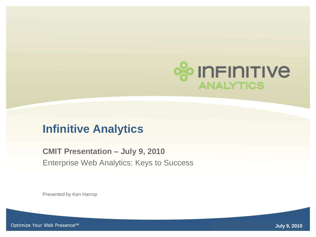

## **Infinitive Analytics**

**CMIT Presentation – July 9, 2010** Enterprise Web Analytics: Keys to Success

Presented by Ken Harrop

Optimize Your Web Presence<sup>sM</sup>

Infinitive Analytics © 2010 **July 9, 2010** <sup>1</sup>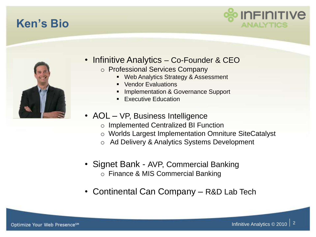# **Ken's Bio**





- Infinitive Analytics Co-Founder & CEO
	- o Professional Services Company
		- **Web Analytics Strategy & Assessment**
		- Vendor Evaluations
		- Implementation & Governance Support
		- Executive Education
- AOL VP, Business Intelligence
	- o Implemented Centralized BI Function
	- o Worlds Largest Implementation Omniture SiteCatalyst
	- o Ad Delivery & Analytics Systems Development
- Signet Bank AVP, Commercial Banking o Finance & MIS Commercial Banking
- Continental Can Company R&D Lab Tech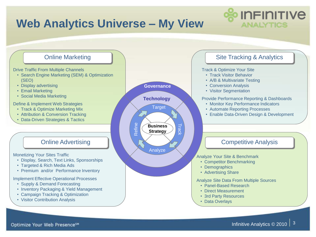

Optimize Your Web Presence<sup>5M</sup>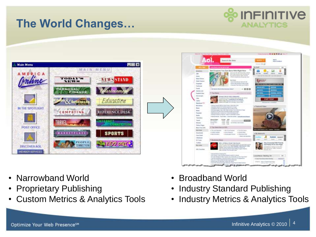# **The World Changes…**







- Proprietary Publishing
- Custom Metrics & Analytics Tools



- Broadband World
- Industry Standard Publishing
- Industry Metrics & Analytics Tools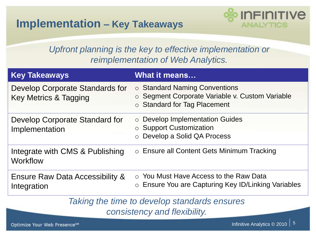

#### *Upfront planning is the key to effective implementation or reimplementation of Web Analytics.*

| <b>Key Takeaways</b>                                     | <b>What it means</b>                                                                                                         |
|----------------------------------------------------------|------------------------------------------------------------------------------------------------------------------------------|
| Develop Corporate Standards for<br>Key Metrics & Tagging | $\circ$ Standard Naming Conventions<br>○ Segment Corporate Variable v. Custom Variable<br>$\circ$ Standard for Tag Placement |
| Develop Corporate Standard for<br>Implementation         | ○ Develop Implementation Guides<br>$\circ$ Support Customization<br>○ Develop a Solid QA Process                             |
| Integrate with CMS & Publishing<br>Workflow              | $\circ$ Ensure all Content Gets Minimum Tracking                                                                             |
| Ensure Raw Data Accessibility &<br>Integration           | ○ You Must Have Access to the Raw Data<br>○ Ensure You are Capturing Key ID/Linking Variables                                |
|                                                          | The later of the later of the later of the later of the self-control of the self-control of the self-control of              |

*Taking the time to develop standards ensures consistency and flexibility.*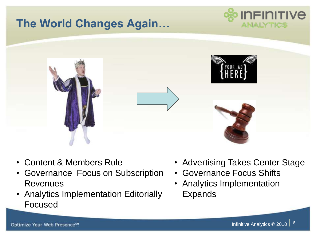

- Content & Members Rule
- Governance Focus on Subscription Revenues
- Analytics Implementation Editorially Focused
- Advertising Takes Center Stage
- Governance Focus Shifts
- Analytics Implementation Expands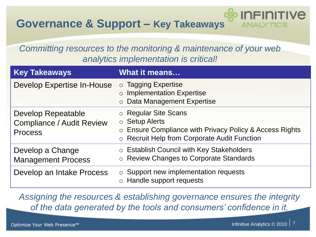## **Governance & Support – Key Takeaways**

#### *Committing resources to the monitoring & maintenance of your web analytics implementation is critical!*

| <b>Key Takeaways</b>                                                            | <b>What it means</b>                                                                                                                                    |
|---------------------------------------------------------------------------------|---------------------------------------------------------------------------------------------------------------------------------------------------------|
| Develop Expertise In-House                                                      | o Tagging Expertise<br>$\circ$ Implementation Expertise<br>o Data Management Expertise                                                                  |
| <b>Develop Repeatable</b><br><b>Compliance / Audit Review</b><br><b>Process</b> | ○ Regular Site Scans<br>$\circ$ Setup Alerts<br>○ Ensure Compliance with Privacy Policy & Access Rights<br>○ Recruit Help from Corporate Audit Function |
| Develop a Change<br><b>Management Process</b>                                   | ○ Establish Council with Key Stakeholders<br>○ Review Changes to Corporate Standards                                                                    |
| Develop an Intake Process                                                       | $\circ$ Support new implementation requests<br>$\circ$ Handle support requests                                                                          |

*Assigning the resources & establishing governance ensures the integrity of the data generated by the tools and consumers' confidence in it.*

INFINITIVE

ANALY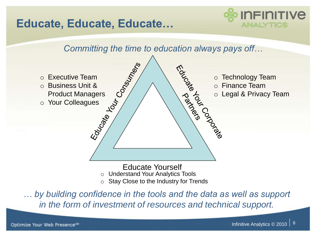# **Educate, Educate, Educate…**





*… by building confidence in the tools and the data as well as support in the form of investment of resources and technical support.*

Optimize Your Web Presence<sup>5M</sup>